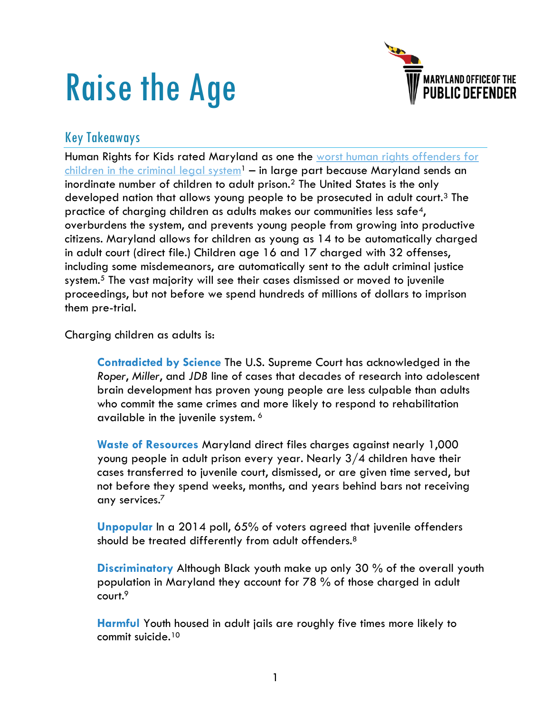# Raise the Age



### Key Takeaways

Human Rights for Kids rated Maryland as one the [worst human rights offenders for](https://humanrightsforkids.org/publication/2020-national-state-ratings-report/)  [children in the criminal](https://humanrightsforkids.org/publication/2020-national-state-ratings-report/) legal system<sup>1</sup> – in large part because Maryland sends an inordinate number of children to adult prison.<sup>2</sup> The United States is the only developed nation that allows young people to be prosecuted in adult court.<sup>3</sup> The practice of charging children as adults makes our communities less safe4, overburdens the system, and prevents young people from growing into productive citizens. Maryland allows for children as young as 14 to be automatically charged in adult court (direct file.) Children age 16 and 17 charged with 32 offenses, including some misdemeanors, are automatically sent to the adult criminal justice system.<sup>5</sup> The vast majority will see their cases dismissed or moved to juvenile proceedings, but not before we spend hundreds of millions of dollars to imprison them pre-trial.

Charging children as adults is:

**Contradicted by Science** The U.S. Supreme Court has acknowledged in the *Roper*, *Miller*, and *JDB* line of cases that decades of research into adolescent brain development has proven young people are less culpable than adults who commit the same crimes and more likely to respond to rehabilitation available in the juvenile system. 6

**Waste of Resources** Maryland direct files charges against nearly 1,000 young people in adult prison every year. Nearly 3/4 children have their cases transferred to juvenile court, dismissed, or are given time served, but not before they spend weeks, months, and years behind bars not receiving any services.<sup>7</sup>

**Unpopular** In a 2014 poll, 65% of voters agreed that juvenile offenders should be treated differently from adult offenders.<sup>8</sup>

**Discriminatory** Although Black youth make up only 30 % of the overall youth population in Maryland they account for 78 % of those charged in adult court.<sup>9</sup>

**Harmful** Youth housed in adult jails are roughly five times more likely to commit suicide.10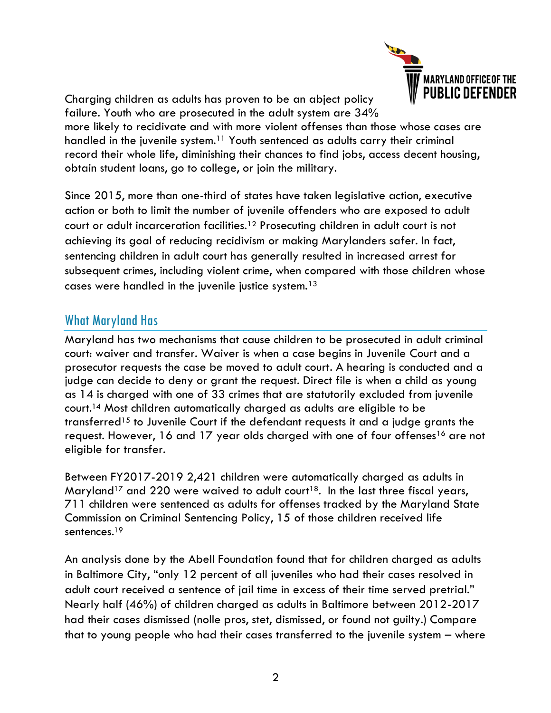

Charging children as adults has proven to be an abject policy failure. Youth who are prosecuted in the adult system are 34%

more likely to recidivate and with more violent offenses than those whose cases are handled in the juvenile system.<sup>11</sup> Youth sentenced as adults carry their criminal record their whole life, diminishing their chances to find jobs, access decent housing, obtain student loans, go to college, or join the military.

Since 2015, more than one-third of states have taken legislative action, executive action or both to limit the number of juvenile offenders who are exposed to adult court or adult incarceration facilities.<sup>12</sup> Prosecuting children in adult court is not achieving its goal of reducing recidivism or making Marylanders safer. In fact, sentencing children in adult court has generally resulted in increased arrest for subsequent crimes, including violent crime, when compared with those children whose cases were handled in the juvenile justice system.<sup>13</sup>

### What Maryland Has

Maryland has two mechanisms that cause children to be prosecuted in adult criminal court: waiver and transfer. Waiver is when a case begins in Juvenile Court and a prosecutor requests the case be moved to adult court. A hearing is conducted and a judge can decide to deny or grant the request. Direct file is when a child as young as 14 is charged with one of 33 crimes that are statutorily excluded from juvenile court.<sup>14</sup> Most children automatically charged as adults are eligible to be transferred<sup>15</sup> to Juvenile Court if the defendant requests it and a judge grants the request. However, 16 and 17 year olds charged with one of four offenses<sup>16</sup> are not eligible for transfer.

Between FY2017-2019 2,421 children were automatically charged as adults in Maryland<sup>17</sup> and 220 were waived to adult court<sup>18</sup>. In the last three fiscal years, 711 children were sentenced as adults for offenses tracked by the Maryland State Commission on Criminal Sentencing Policy, 15 of those children received life sentences.<sup>19</sup>

An analysis done by the Abell Foundation found that for children charged as adults in Baltimore City, "only 12 percent of all juveniles who had their cases resolved in adult court received a sentence of jail time in excess of their time served pretrial." Nearly half (46%) of children charged as adults in Baltimore between 2012-2017 had their cases dismissed (nolle pros, stet, dismissed, or found not guilty.) Compare that to young people who had their cases transferred to the juvenile system – where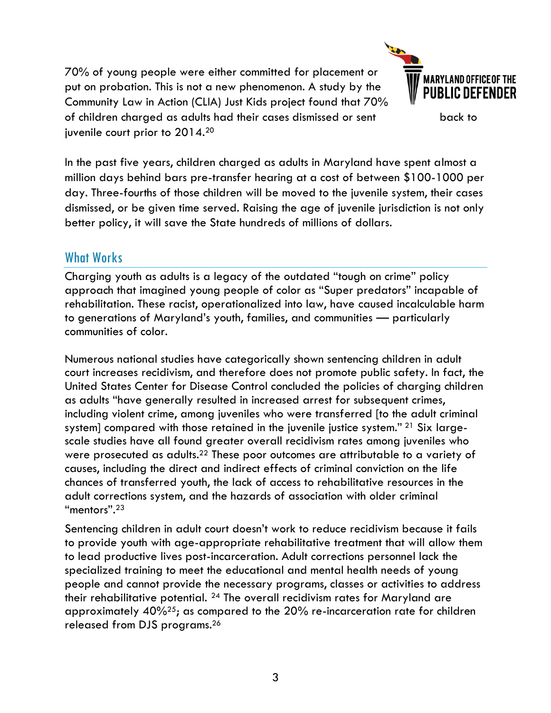70% of young people were either committed for placement or put on probation. This is not a new phenomenon. A study by the Community Law in Action (CLIA) Just Kids project found that 70% of children charged as adults had their cases dismissed or sent back to juvenile court prior to 2014.<sup>20</sup>



In the past five years, children charged as adults in Maryland have spent almost a million days behind bars pre-transfer hearing at a cost of between \$100-1000 per day. Three-fourths of those children will be moved to the juvenile system, their cases dismissed, or be given time served. Raising the age of juvenile jurisdiction is not only better policy, it will save the State hundreds of millions of dollars.

# What Works

Charging youth as adults is a legacy of the outdated "tough on crime" policy approach that imagined young people of color as "Super predators" incapable of rehabilitation. These racist, operationalized into law, have caused incalculable harm to generations of Maryland's youth, families, and communities — particularly communities of color.

Numerous national studies have categorically shown sentencing children in adult court increases recidivism, and therefore does not promote public safety. In fact, the United States Center for Disease Control concluded the policies of charging children as adults "have generally resulted in increased arrest for subsequent crimes, including violent crime, among juveniles who were transferred [to the adult criminal system] compared with those retained in the juvenile justice system." <sup>21</sup> Six largescale studies have all found greater overall recidivism rates among juveniles who were prosecuted as adults.<sup>22</sup> These poor outcomes are attributable to a variety of causes, including the direct and indirect effects of criminal conviction on the life chances of transferred youth, the lack of access to rehabilitative resources in the adult corrections system, and the hazards of association with older criminal "mentors".<sup>23</sup>

Sentencing children in adult court doesn't work to reduce recidivism because it fails to provide youth with age-appropriate rehabilitative treatment that will allow them to lead productive lives post-incarceration. Adult corrections personnel lack the specialized training to meet the educational and mental health needs of young people and cannot provide the necessary programs, classes or activities to address their rehabilitative potential. <sup>24</sup> The overall recidivism rates for Maryland are approximately 40%25; as compared to the 20% re-incarceration rate for children released from DJS programs.26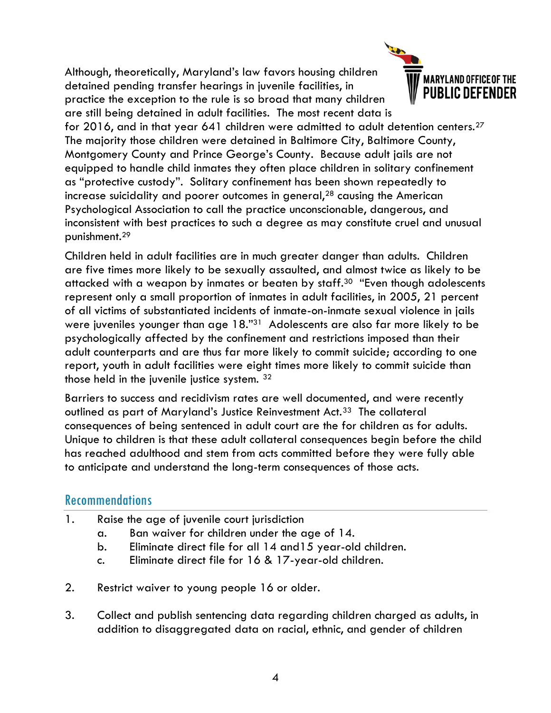Although, theoretically, Maryland's law favors housing children detained pending transfer hearings in juvenile facilities, in practice the exception to the rule is so broad that many children are still being detained in adult facilities. The most recent data is



for 2016, and in that year 641 children were admitted to adult detention centers.<sup>27</sup> The majority those children were detained in Baltimore City, Baltimore County, Montgomery County and Prince George's County. Because adult jails are not equipped to handle child inmates they often place children in solitary confinement as "protective custody". Solitary confinement has been shown repeatedly to increase suicidality and poorer outcomes in general, $28$  causing the American Psychological Association to call the practice unconscionable, dangerous, and inconsistent with best practices to such a degree as may constitute cruel and unusual punishment.<sup>29</sup>

Children held in adult facilities are in much greater danger than adults. Children are five times more likely to be sexually assaulted, and almost twice as likely to be attacked with a weapon by inmates or beaten by staff.<sup>30</sup> "Even though adolescents represent only a small proportion of inmates in adult facilities, in 2005, 21 percent of all victims of substantiated incidents of inmate-on-inmate sexual violence in jails were juveniles younger than age 18."31 Adolescents are also far more likely to be psychologically affected by the confinement and restrictions imposed than their adult counterparts and are thus far more likely to commit suicide; according to one report, youth in adult facilities were eight times more likely to commit suicide than those held in the juvenile justice system. <sup>32</sup>

Barriers to success and recidivism rates are well documented, and were recently outlined as part of Maryland's Justice Reinvestment Act.<sup>33</sup> The collateral consequences of being sentenced in adult court are the for children as for adults. Unique to children is that these adult collateral consequences begin before the child has reached adulthood and stem from acts committed before they were fully able to anticipate and understand the long-term consequences of those acts.

#### Recommendations

- 1. Raise the age of juvenile court jurisdiction
	- a. Ban waiver for children under the age of 14.
	- b. Eliminate direct file for all 14 and15 year-old children.
	- c. Eliminate direct file for 16 & 17-year-old children.
- 2. Restrict waiver to young people 16 or older.
- 3. Collect and publish sentencing data regarding children charged as adults, in addition to disaggregated data on racial, ethnic, and gender of children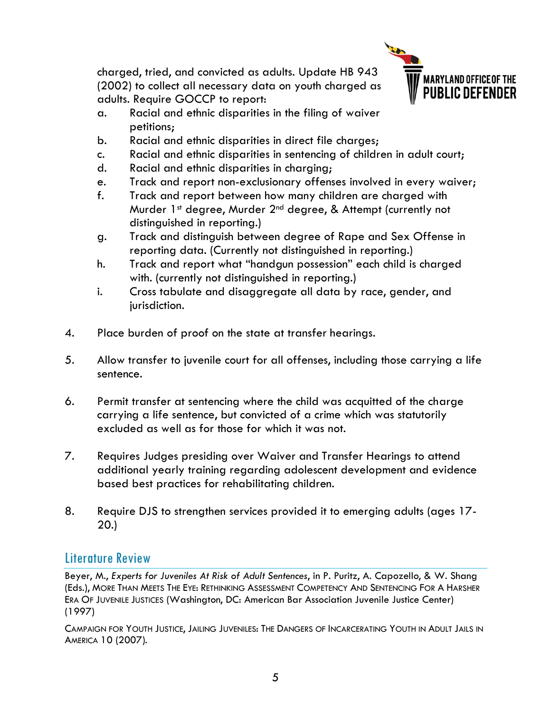charged, tried, and convicted as adults. Update HB 943 (2002) to collect all necessary data on youth charged as adults. Require GOCCP to report:



- a. Racial and ethnic disparities in the filing of waiver petitions;
- b. Racial and ethnic disparities in direct file charges;
- c. Racial and ethnic disparities in sentencing of children in adult court;
- d. Racial and ethnic disparities in charging;
- e. Track and report non-exclusionary offenses involved in every waiver;
- f. Track and report between how many children are charged with Murder 1st degree, Murder 2<sup>nd</sup> degree, & Attempt (currently not distinguished in reporting.)
- g. Track and distinguish between degree of Rape and Sex Offense in reporting data. (Currently not distinguished in reporting.)
- h. Track and report what "handgun possession" each child is charged with. (currently not distinguished in reporting.)
- i. Cross tabulate and disaggregate all data by race, gender, and jurisdiction.
- 4. Place burden of proof on the state at transfer hearings.
- 5. Allow transfer to juvenile court for all offenses, including those carrying a life sentence.
- 6. Permit transfer at sentencing where the child was acquitted of the charge carrying a life sentence, but convicted of a crime which was statutorily excluded as well as for those for which it was not.
- 7. Requires Judges presiding over Waiver and Transfer Hearings to attend additional yearly training regarding adolescent development and evidence based best practices for rehabilitating children.
- 8. Require DJS to strengthen services provided it to emerging adults (ages 17- 20.)

## Literature Review

Beyer, M., *Experts for Juveniles At Risk of Adult Sentences*, in P. Puritz, A. Capozello, & W. Shang (Eds.), MORE THAN MEETS THE EYE: RETHINKING ASSESSMENT COMPETENCY AND SENTENCING FOR A HARSHER ERA OF JUVENILE JUSTICES (Washington, DC: American Bar Association Juvenile Justice Center) (1997)

CAMPAIGN FOR YOUTH JUSTICE, JAILING JUVENILES: THE DANGERS OF INCARCERATING YOUTH IN ADULT JAILS IN AMERICA 10 (2007).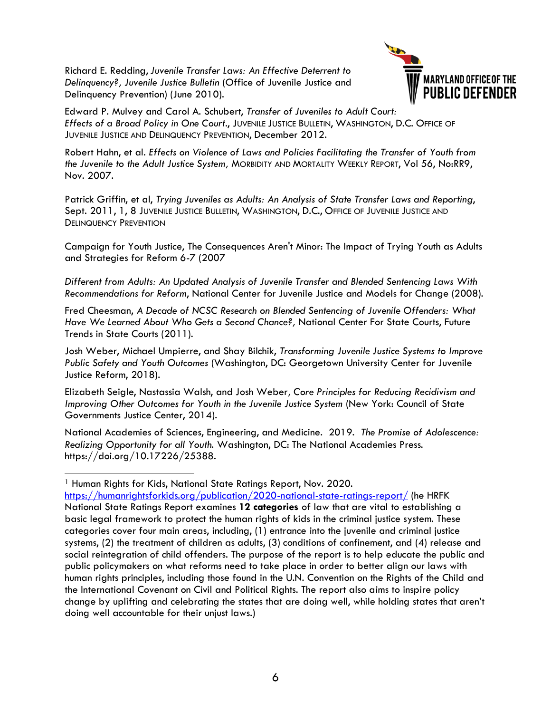Richard E. Redding, *Juvenile Transfer Laws: An Effective Deterrent to Delinquency?, Juvenile Justice Bulletin* (Office of Juvenile Justice and Delinquency Prevention) (June 2010).



Edward P. Mulvey and Carol A. Schubert, *Transfer of Juveniles to Adult Court: Effects of a Broad Policy in One Court*., JUVENILE JUSTICE BULLETIN, WASHINGTON, D.C. OFFICE OF JUVENILE JUSTICE AND DELINQUENCY PREVENTION, December 2012.

Robert Hahn, et al. *Effects on Violence of Laws and Policies Facilitating the Transfer of Youth from the Juvenile to the Adult Justice System,* MORBIDITY AND MORTALITY WEEKLY REPORT, Vol 56, No:RR9, Nov. 2007.

Patrick Griffin, et al, *Trying Juveniles as Adults: An Analysis of State Transfer Laws and Reporting*, Sept. 2011, 1, 8 JUVENILE JUSTICE BULLETIN, WASHINGTON, D.C., OFFICE OF JUVENILE JUSTICE AND DELINQUENCY PREVENTION

Campaign for Youth Justice, The Consequences Aren't Minor: The Impact of Trying Youth as Adults and Strategies for Reform 6-7 (2007

*Different from Adults: An Updated Analysis of Juvenile Transfer and Blended Sentencing Laws With Recommendations for Reform*, National Center for Juvenile Justice and Models for Change (2008).

Fred Cheesman, *A Decade of NCSC Research on Blended Sentencing of Juvenile Offenders: What Have We Learned About Who Gets a Second Chance?,* National Center For State Courts, Future Trends in State Courts (2011).

Josh Weber, Michael Umpierre, and Shay Bilchik, *Transforming Juvenile Justice Systems to Improve Public Safety and Youth Outcomes* (Washington, DC: Georgetown University Center for Juvenile Justice Reform, 2018).

Elizabeth Seigle, Nastassia Walsh, and Josh Weber*, Core Principles for Reducing Recidivism and Improving Other Outcomes for Youth in the Juvenile Justice System (New York: Council of State* Governments Justice Center, 2014).

National Academies of Sciences, Engineering, and Medicine. 2019. *The Promise of Adolescence: Realizing Opportunity for all Youth.* Washington, DC: The National Academies Press. https://doi.org/10.17226/25388.

<sup>1</sup> Human Rights for Kids, National State Ratings Report, Nov. 2020.

<https://humanrightsforkids.org/publication/2020-national-state-ratings-report/> (he HRFK National State Ratings Report examines **12 categories** of law that are vital to establishing a basic legal framework to protect the human rights of kids in the criminal justice system. These categories cover four main areas, including, (1) entrance into the juvenile and criminal justice systems, (2) the treatment of children as adults, (3) conditions of confinement, and (4) release and social reintegration of child offenders. The purpose of the report is to help educate the public and public policymakers on what reforms need to take place in order to better align our laws with human rights principles, including those found in the U.N. Convention on the Rights of the Child and the International Covenant on Civil and Political Rights. The report also aims to inspire policy change by uplifting and celebrating the states that are doing well, while holding states that aren't doing well accountable for their unjust laws.)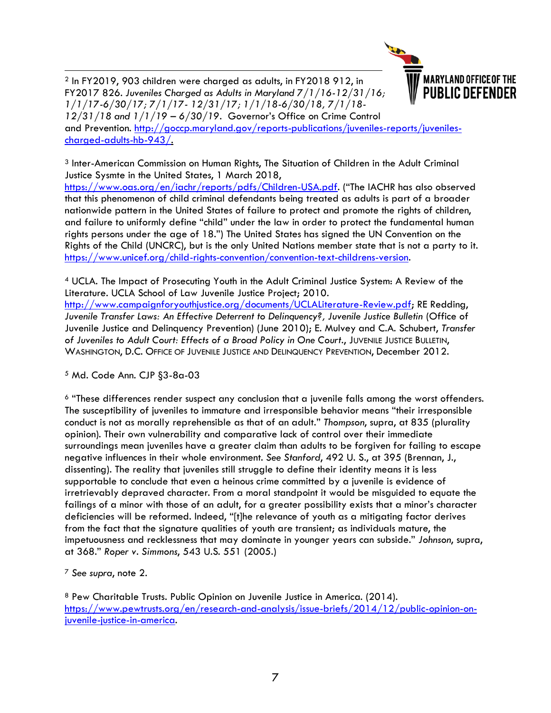

**MARYLAND OFFICE OF THE PUBLIC DEFENDER** 

and Prevention. [http://goccp.maryland.gov/reports-publications/juveniles-reports/juveniles](http://goccp.maryland.gov/reports-publications/juveniles-reports/juveniles-charged-adults-hb-943/)[charged-adults-hb-943/.](http://goccp.maryland.gov/reports-publications/juveniles-reports/juveniles-charged-adults-hb-943/)

<sup>3</sup> Inter-American Commission on Human Rights, The Situation of Children in the Adult Criminal Justice Sysmte in the United States, 1 March 2018,

<https://www.oas.org/en/iachr/reports/pdfs/Children-USA.pdf>. ("The IACHR has also observed that this phenomenon of child criminal defendants being treated as adults is part of a broader nationwide pattern in the United States of failure to protect and promote the rights of children, and failure to uniformly define "child" under the law in order to protect the fundamental human rights persons under the age of 18.") The United States has signed the UN Convention on the Rights of the Child (UNCRC), but is the only United Nations member state that is not a party to it. [https://www.unicef.org/child-rights-convention/convention-text-childrens-version.](https://www.unicef.org/child-rights-convention/convention-text-childrens-version)

<sup>4</sup> UCLA. The Impact of Prosecuting Youth in the Adult Criminal Justice System: A Review of the Literature. UCLA School of Law Juvenile Justice Project; 2010. [http://www.campaignforyouthjustice.org/documents/UCLALiterature-Review.pdf;](http://www.campaignforyouthjustice.org/documents/UCLALiterature-Review.pdf) RE Redding, *Juvenile Transfer Laws: An Effective Deterrent to Delinquency?, Juvenile Justice Bulletin* (Office of Juvenile Justice and Delinquency Prevention) (June 2010); E. Mulvey and C.A. Schubert, *Transfer of Juveniles to Adult Court: Effects of a Broad Policy in One Court*., JUVENILE JUSTICE BULLETIN, WASHINGTON, D.C. OFFICE OF JUVENILE JUSTICE AND DELINQUENCY PREVENTION, December 2012.

<sup>5</sup> Md. Code Ann. CJP §3-8a-03

<sup>6</sup> "These differences render suspect any conclusion that a juvenile falls among the worst offenders. The susceptibility of juveniles to immature and irresponsible behavior means "their irresponsible conduct is not as morally reprehensible as that of an adult." *Thompson*, supra, at 835 (plurality opinion). Their own vulnerability and comparative lack of control over their immediate surroundings mean juveniles have a greater claim than adults to be forgiven for failing to escape negative influences in their whole environment*. See Stanford*, 492 U. S., at 395 (Brennan, J., dissenting). The reality that juveniles still struggle to define their identity means it is less supportable to conclude that even a heinous crime committed by a juvenile is evidence of irretrievably depraved character. From a moral standpoint it would be misguided to equate the failings of a minor with those of an adult, for a greater possibility exists that a minor's character deficiencies will be reformed. Indeed, "[t]he relevance of youth as a mitigating factor derives from the fact that the signature qualities of youth are transient; as individuals mature, the impetuousness and recklessness that may dominate in younger years can subside." *Johnson*, supra, at 368." *Roper v. Simmons*, 543 U.S. 551 (2005.)

<sup>7</sup> *See supra*, note 2.

<sup>8</sup> Pew Charitable Trusts. Public Opinion on Juvenile Justice in America. (2014). [https://www.pewtrusts.org/en/research-and-analysis/issue-briefs/2014/12/public-opinion-on](https://www.pewtrusts.org/en/research-and-analysis/issue-briefs/2014/12/public-opinion-on-juvenile-justice-in-america)[juvenile-justice-in-america.](https://www.pewtrusts.org/en/research-and-analysis/issue-briefs/2014/12/public-opinion-on-juvenile-justice-in-america)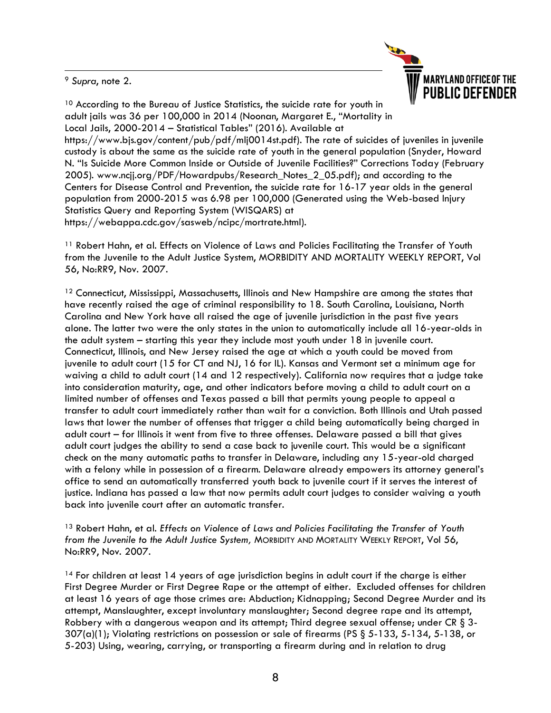<sup>9</sup> *Supra*, note 2.



<sup>10</sup> According to the Bureau of Justice Statistics, the suicide rate for youth in adult jails was 36 per 100,000 in 2014 (Noonan, Margaret E., "Mortality in Local Jails, 2000-2014 – Statistical Tables" (2016). Available at https://www.bjs.gov/content/pub/pdf/mlj0014st.pdf). The rate of suicides of juveniles in juvenile custody is about the same as the suicide rate of youth in the general population (Snyder, Howard N. "Is Suicide More Common Inside or Outside of Juvenile Facilities?" Corrections Today (February 2005). www.ncjj.org/PDF/Howardpubs/Research\_Notes\_2\_05.pdf); and according to the Centers for Disease Control and Prevention, the suicide rate for 16-17 year olds in the general population from 2000-2015 was 6.98 per 100,000 (Generated using the Web-based Injury Statistics Query and Reporting System (WISQARS) at https://webappa.cdc.gov/sasweb/ncipc/mortrate.html).

<sup>11</sup> Robert Hahn, et al. Effects on Violence of Laws and Policies Facilitating the Transfer of Youth from the Juvenile to the Adult Justice System, MORBIDITY AND MORTALITY WEEKLY REPORT, Vol 56, No:RR9, Nov. 2007.

 $12$  Connecticut, Mississippi, Massachusetts, Illinois and New Hampshire are among the states that have recently raised the age of criminal responsibility to 18. South Carolina, Louisiana, North Carolina and New York have all raised the age of juvenile jurisdiction in the past five years alone. The latter two were the only states in the union to automatically include all 16-year-olds in the adult system – starting this year they include most youth under 18 in juvenile court. Connecticut, Illinois, and New Jersey raised the age at which a youth could be moved from juvenile to adult court (15 for CT and NJ, 16 for IL). Kansas and Vermont set a minimum age for waiving a child to adult court (14 and 12 respectively). California now requires that a judge take into consideration maturity, age, and other indicators before moving a child to adult court on a limited number of offenses and Texas passed a bill that permits young people to appeal a transfer to adult court immediately rather than wait for a conviction. Both Illinois and Utah passed laws that lower the number of offenses that trigger a child being automatically being charged in adult court – for Illinois it went from five to three offenses. Delaware passed a bill that gives adult court judges the ability to send a case back to juvenile court. This would be a significant check on the many automatic paths to transfer in Delaware, including any 15-year-old charged with a felony while in possession of a firearm. Delaware already empowers its attorney general's office to send an automatically transferred youth back to juvenile court if it serves the interest of justice. Indiana has passed a law that now permits adult court judges to consider waiving a youth back into juvenile court after an automatic transfer.

<sup>13</sup> Robert Hahn, et al. *Effects on Violence of Laws and Policies Facilitating the Transfer of Youth from the Juvenile to the Adult Justice System,* MORBIDITY AND MORTALITY WEEKLY REPORT, Vol 56, No:RR9, Nov. 2007.

<sup>14</sup> For children at least 14 years of age jurisdiction begins in adult court if the charge is either First Degree Murder or First Degree Rape or the attempt of either. Excluded offenses for children at least 16 years of age those crimes are: Abduction; Kidnapping; Second Degree Murder and its attempt, Manslaughter, except involuntary manslaughter; Second degree rape and its attempt, Robbery with a dangerous weapon and its attempt; Third degree sexual offense; under CR [§ 3-](http://www.westlaw.com/Link/Document/FullText?findType=L&pubNum=1016992&cite=MDCRLWS3-307&originatingDoc=N09AF3790F2D511E286B1AC049B5CF712&refType=SP&originationContext=document&vr=3.0&rs=cblt1.0&transitionType=DocumentItem&contextData=(sc.Category)#co_pp_7b9b000044381) [307\(a\)\(1\);](http://www.westlaw.com/Link/Document/FullText?findType=L&pubNum=1016992&cite=MDCRLWS3-307&originatingDoc=N09AF3790F2D511E286B1AC049B5CF712&refType=SP&originationContext=document&vr=3.0&rs=cblt1.0&transitionType=DocumentItem&contextData=(sc.Category)#co_pp_7b9b000044381) Violating restrictions on possession or sale of firearms (PS [§ 5-133](http://www.westlaw.com/Link/Document/FullText?findType=L&pubNum=1077489&cite=MDPUSTYS5-133&originatingDoc=N09AF3790F2D511E286B1AC049B5CF712&refType=LQ&originationContext=document&vr=3.0&rs=cblt1.0&transitionType=DocumentItem&contextData=(sc.Category))[, 5-134,](http://www.westlaw.com/Link/Document/FullText?findType=L&pubNum=1077489&cite=MDPUSTYS5-134&originatingDoc=N09AF3790F2D511E286B1AC049B5CF712&refType=LQ&originationContext=document&vr=3.0&rs=cblt1.0&transitionType=DocumentItem&contextData=(sc.Category)) [5-138,](http://www.westlaw.com/Link/Document/FullText?findType=L&pubNum=1077489&cite=MDPUSTYS5-138&originatingDoc=N09AF3790F2D511E286B1AC049B5CF712&refType=LQ&originationContext=document&vr=3.0&rs=cblt1.0&transitionType=DocumentItem&contextData=(sc.Category)) or [5-203\) U](http://www.westlaw.com/Link/Document/FullText?findType=L&pubNum=1077489&cite=MDPUSTYS5-203&originatingDoc=N09AF3790F2D511E286B1AC049B5CF712&refType=LQ&originationContext=document&vr=3.0&rs=cblt1.0&transitionType=DocumentItem&contextData=(sc.Category))sing, wearing, carrying, or transporting a firearm during and in relation to drug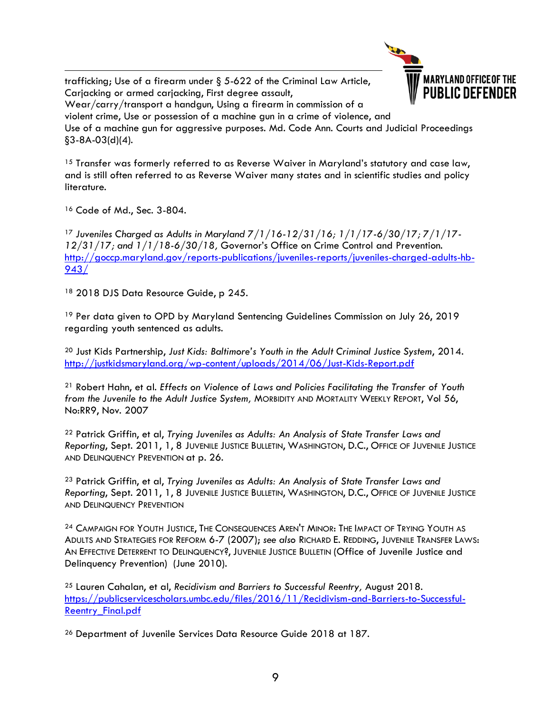trafficking; Use of a firearm under [§ 5-622 of the Criminal Law Article,](http://www.westlaw.com/Link/Document/FullText?findType=L&pubNum=1016992&cite=MDCRLWS5-622&originatingDoc=N09AF3790F2D511E286B1AC049B5CF712&refType=LQ&originationContext=document&vr=3.0&rs=cblt1.0&transitionType=DocumentItem&contextData=(sc.Category)) Carjacking or armed carjacking, First degree assault,



Wear/carry/transport a handgun, Using a firearm in commission of a violent crime, Use or possession of a machine gun in a crime of violence, and Use of a machine gun for aggressive purposes. Md. Code Ann. Courts and Judicial Proceedings §3-8A-03(d)(4).

<sup>15</sup> Transfer was formerly referred to as Reverse Waiver in Maryland's statutory and case law, and is still often referred to as Reverse Waiver many states and in scientific studies and policy literature.

<sup>16</sup> Code of Md., Sec. 3-804.

<sup>17</sup> *Juveniles Charged as Adults in Maryland 7/1/16-12/31/16; 1/1/17-6/30/17; 7/1/17- 12/31/17; and 1/1/18-6/30/18,* Governor's Office on Crime Control and Prevention. [http://goccp.maryland.gov/reports-publications/juveniles-reports/juveniles-charged-adults-hb-](http://goccp.maryland.gov/reports-publications/juveniles-reports/juveniles-charged-adults-hb-943/)[943/](http://goccp.maryland.gov/reports-publications/juveniles-reports/juveniles-charged-adults-hb-943/)

<sup>18</sup> 2018 DJS Data Resource Guide, p 245.

<sup>19</sup> Per data given to OPD by Maryland Sentencing Guidelines Commission on July 26, 2019 regarding youth sentenced as adults.

<sup>20</sup> Just Kids Partnership, *Just Kids: Baltimore's Youth in the Adult Criminal Justice System*, 2014. <http://justkidsmaryland.org/wp-content/uploads/2014/06/Just-Kids-Report.pdf>

<sup>21</sup> Robert Hahn, et al. *Effects on Violence of Laws and Policies Facilitating the Transfer of Youth from the Juvenile to the Adult Justice System,* MORBIDITY AND MORTALITY WEEKLY REPORT, Vol 56, No:RR9, Nov. 2007

<sup>22</sup> Patrick Griffin, et al, *Trying Juveniles as Adults: An Analysis of State Transfer Laws and Reporting*, Sept. 2011, 1, 8 JUVENILE JUSTICE BULLETIN, WASHINGTON, D.C., OFFICE OF JUVENILE JUSTICE AND DELINQUENCY PREVENTION at p. 26.

<sup>23</sup> Patrick Griffin, et al, *Trying Juveniles as Adults: An Analysis of State Transfer Laws and Reporting*, Sept. 2011, 1, 8 JUVENILE JUSTICE BULLETIN, WASHINGTON, D.C., OFFICE OF JUVENILE JUSTICE AND DELINQUENCY PREVENTION

<sup>24</sup> CAMPAIGN FOR YOUTH JUSTICE, THE CONSEQUENCES AREN'T MINOR: THE IMPACT OF TRYING YOUTH AS ADULTS AND STRATEGIES FOR REFORM 6-7 (2007); *see also* RICHARD E. REDDING, JUVENILE TRANSFER LAWS: AN EFFECTIVE DETERRENT TO DELINQUENCY?, JUVENILE JUSTICE BULLETIN (Office of Juvenile Justice and Delinquency Prevention) (June 2010).

<sup>25</sup> Lauren Cahalan, et al, *Recidivism and Barriers to Successful Reentry,* August 2018. [https://publicservicescholars.umbc.edu/files/2016/11/Recidivism-and-Barriers-to-Successful-](https://publicservicescholars.umbc.edu/files/2016/11/Recidivism-and-Barriers-to-Successful-Reentry_Final.pdf)[Reentry\\_Final.pdf](https://publicservicescholars.umbc.edu/files/2016/11/Recidivism-and-Barriers-to-Successful-Reentry_Final.pdf)

<sup>26</sup> Department of Juvenile Services Data Resource Guide 2018 at 187.